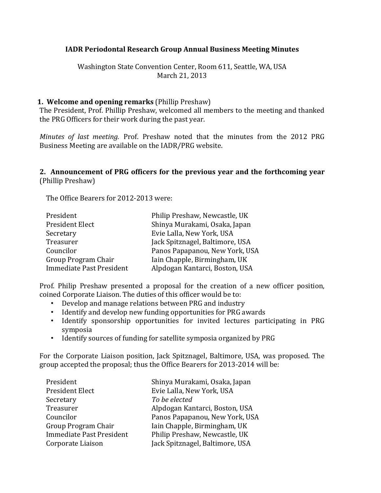### **IADR Periodontal Research Group Annual Business Meeting Minutes**

Washington State Convention Center, Room 611, Seattle, WA, USA March 21, 2013

### **1. Welcome and opening remarks** (Phillip Preshaw)

The President, Prof. Phillip Preshaw, welcomed all members to the meeting and thanked the PRG Officers for their work during the past year.

*Minutes of last meeting.* Prof. Preshaw noted that the minutes from the 2012 PRG Business Meeting are available on the IADR/PRG website.

#### **2.** Announcement of PRG officers for the previous year and the forthcoming year (Phillip Preshaw)

The Office Bearers for 2012-2013 were:

| Philip Preshaw, Newcastle, UK   |
|---------------------------------|
| Shinya Murakami, Osaka, Japan   |
| Evie Lalla, New York, USA       |
| Jack Spitznagel, Baltimore, USA |
| Panos Papapanou, New York, USA  |
| Iain Chapple, Birmingham, UK    |
| Alpdogan Kantarci, Boston, USA  |
|                                 |

Prof. Philip Preshaw presented a proposal for the creation of a new officer position, coined Corporate Liaison. The duties of this officer would be to:

- Develop and manage relations between PRG and industry
- Identify and develop new funding opportunities for PRG awards
- Identify sponsorship opportunities for invited lectures participating in PRG symposia
- Identify sources of funding for satellite symposia organized by PRG

For the Corporate Liaison position, Jack Spitznagel, Baltimore, USA, was proposed. The group accepted the proposal; thus the Office Bearers for 2013-2014 will be:

| Shinya Murakami, Osaka, Japan   |
|---------------------------------|
|                                 |
|                                 |
| Alpdogan Kantarci, Boston, USA  |
| Panos Papapanou, New York, USA  |
| Iain Chapple, Birmingham, UK    |
| Philip Preshaw, Newcastle, UK   |
| Jack Spitznagel, Baltimore, USA |
|                                 |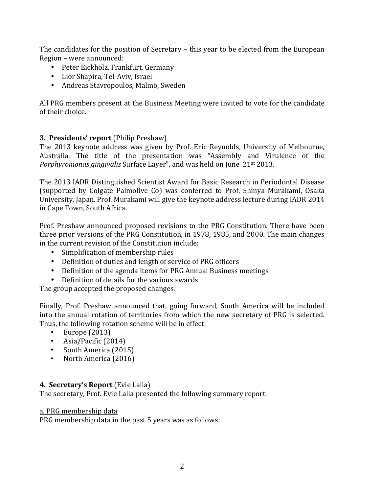The candidates for the position of Secretary – this year to be elected from the European Region – were announced:

- Peter Eickholz, Frankfurt, Germany
- Lior Shapira, Tel-Aviv, Israel
- Andreas Stavropoulos, Malmö, Sweden

All PRG members present at the Business Meeting were invited to vote for the candidate of their choice.

# **3. Presidents' report** (Philip Preshaw)

The 2013 keynote address was given by Prof. Eric Reynolds, University of Melbourne, Australia. The title of the presentation was "Assembly and Virulence of the *Porphyromonas gingivalis* Surface Layer", and was held on June 21<sup>st</sup> 2013.

The 2013 IADR Distinguished Scientist Award for Basic Research in Periodontal Disease (supported by Colgate Palmolive Co) was conferred to Prof. Shinya Murakami, Osaka University, Japan. Prof. Murakami will give the keynote address lecture during IADR 2014 in Cape Town, South Africa.

Prof. Preshaw announced proposed revisions to the PRG Constitution. There have been three prior versions of the PRG Constitution, in 1978, 1985, and 2000. The main changes in the current revision of the Constitution include:

- Simplification of membership rules
- Definition of duties and length of service of PRG officers
- Definition of the agenda items for PRG Annual Business meetings
- Definition of details for the various awards

The group accepted the proposed changes.

Finally, Prof. Preshaw announced that, going forward, South America will be included into the annual rotation of territories from which the new secretary of PRG is selected. Thus, the following rotation scheme will be in effect:

- $\cdot$  Europe (2013)
- Asia/Pacific  $(2014)$
- South America (2015)
- North America (2016)

# **4. Secretary's Report** (Evie Lalla)

The secretary, Prof. Evie Lalla presented the following summary report:

### a. PRG membership data

PRG membership data in the past 5 years was as follows: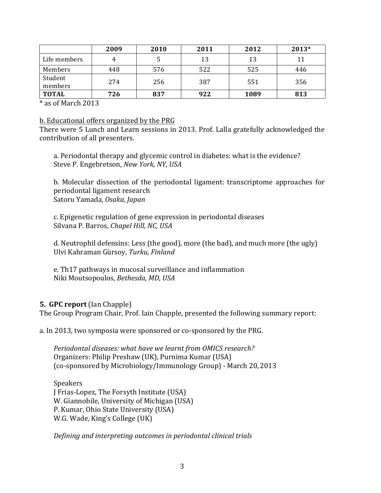|                    | 2009 | 2010 | 2011 | 2012 | 2013* |
|--------------------|------|------|------|------|-------|
| Life members       |      |      | 13   | 13   | 11    |
| Members            | 448  | 576  | 522  | 525  | 446   |
| Student<br>members | 274  | 256  | 387  | 551  | 356   |
| <b>TOTAL</b>       | 726  | 837  | 922  | 1089 | 813   |

\* as of March 2013

#### b. Educational offers organized by the PRG

There were 5 Lunch and Learn sessions in 2013. Prof. Lalla gratefully acknowledged the contribution of all presenters.

a. Periodontal therapy and glycemic control in diabetes: what is the evidence? Steve P. Engebretson, *New York, NY, USA* 

b. Molecular dissection of the periodontal ligament: transcriptome approaches for periodontal ligament research Satoru Yamada, *Osaka, Japan*

c. Epigenetic regulation of gene expression in periodontal diseases Silvana P. Barros, *Chapel Hill, NC, USA* 

d. Neutrophil defensins: Less (the good), more (the bad), and much more (the ugly) Ulvi Kahraman Gürsoy, *Turku, Finland*

e. Th17 pathways in mucosal surveillance and inflammation Niki Moutsopoulos, Bethesda, MD, USA

### **5. GPC report** (Ian Chapple)

The Group Program Chair, Prof. Iain Chapple, presented the following summary report:

a. In 2013, two symposia were sponsored or co-sponsored by the PRG.

*Periodontal diseases: what have we learnt from OMICS research?* Organizers: Philip Preshaw (UK), Purnima Kumar (USA) (co-sponsored by Microbiology/Immunology Group) - March 20, 2013

Speakers I Frias-Lopez, The Forsyth Institute (USA) W. Giannobile, University of Michigan (USA) P. Kumar, Ohio State University (USA) W.G. Wade, King's College (UK)

*Defining and interpreting outcomes in periodontal clinical trials*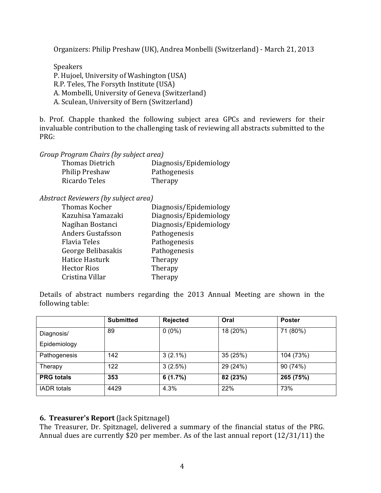Organizers: Philip Preshaw (UK), Andrea Monbelli (Switzerland) - March 21, 2013

Speakers P. Hujoel, University of Washington (USA) R.P. Teles, The Forsyth Institute (USA) A. Mombelli, University of Geneva (Switzerland) A. Sculean, University of Bern (Switzerland)

b. Prof. Chapple thanked the following subject area GPCs and reviewers for their invaluable contribution to the challenging task of reviewing all abstracts submitted to the PRG:

*Group* Program *Chairs (by subject area)* 

| <b>Thomas Dietrich</b> | Diagnosis/Epidemiology |
|------------------------|------------------------|
| <b>Philip Preshaw</b>  | Pathogenesis           |
| Ricardo Teles          | Therapy                |

### *Abstract Reviewers (by subject area)*

| Thomas Kocher            | Diagnosis/Epidemiology |
|--------------------------|------------------------|
| Kazuhisa Yamazaki        | Diagnosis/Epidemiology |
| Nagihan Bostanci         | Diagnosis/Epidemiology |
| <b>Anders Gustafsson</b> | Pathogenesis           |
| <b>Flavia Teles</b>      | Pathogenesis           |
| George Belibasakis       | Pathogenesis           |
| <b>Hatice Hasturk</b>    | Therapy                |
| <b>Hector Rios</b>       | Therapy                |
| Cristina Villar          | Therapy                |
|                          |                        |

Details of abstract numbers regarding the 2013 Annual Meeting are shown in the following table:

|                    | <b>Submitted</b> | Rejected   | Oral     | <b>Poster</b> |
|--------------------|------------------|------------|----------|---------------|
| Diagnosis/         | 89               | $0(0\%)$   | 18 (20%) | 71 (80%)      |
| Epidemiology       |                  |            |          |               |
| Pathogenesis       | 142              | $3(2.1\%)$ | 35 (25%) | 104 (73%)     |
| Therapy            | 122              | 3(2.5%)    | 29 (24%) | 90 (74%)      |
| <b>PRG</b> totals  | 353              | 6(1.7%)    | 82 (23%) | 265 (75%)     |
| <b>IADR</b> totals | 4429             | 4.3%       | 22%      | 73%           |

### **6. Treasurer's Report** (Jack Spitznagel)

The Treasurer, Dr. Spitznagel, delivered a summary of the financial status of the PRG. Annual dues are currently \$20 per member. As of the last annual report  $(12/31/11)$  the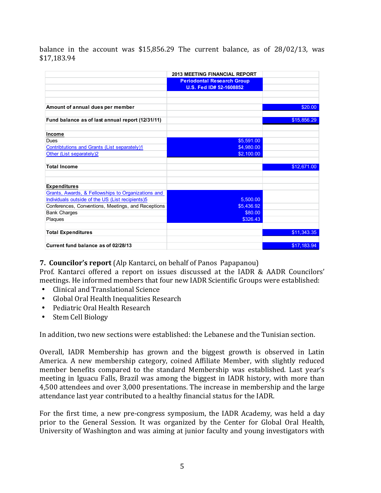balance in the account was  $$15,856.29$  The current balance, as of  $28/02/13$ , was \$17,183.94

|                                                    | <b>2013 MEETING FINANCIAL REPORT</b> |             |
|----------------------------------------------------|--------------------------------------|-------------|
|                                                    | <b>Periodontal Research Group</b>    |             |
|                                                    | U.S. Fed ID# 52-1608852              |             |
|                                                    |                                      |             |
|                                                    |                                      |             |
| Amount of annual dues per member                   |                                      | \$20.00     |
|                                                    |                                      |             |
| Fund balance as of last annual report (12/31/11)   |                                      | \$15,856.29 |
|                                                    |                                      |             |
| <b>Income</b>                                      |                                      |             |
| <b>Dues</b>                                        | \$5,591.00                           |             |
| Contribtutions and Grants (List separately)1       | \$4,980.00                           |             |
| Other (List separately)2                           | \$2,100.00                           |             |
|                                                    |                                      |             |
| <b>Total Income</b>                                |                                      | \$12,671.00 |
|                                                    |                                      |             |
|                                                    |                                      |             |
| <b>Expenditures</b>                                |                                      |             |
| Grants, Awards, & Fellowships to Organizations and |                                      |             |
| Individuals outside of the US (List recipients)5   | 5,500.00                             |             |
| Conferences, Conventions, Meetings, and Receptions | \$5,436.92                           |             |
| <b>Bank Charges</b>                                | \$80.00                              |             |
| Plaques                                            | \$326.43                             |             |
|                                                    |                                      |             |
| <b>Total Expenditures</b>                          |                                      | \$11,343.35 |
|                                                    |                                      |             |
| Current fund balance as of 02/28/13                |                                      | \$17.183.94 |

**7. Councilor's report** (Alp Kantarci, on behalf of Panos Papapanou)

Prof. Kantarci offered a report on issues discussed at the IADR & AADR Councilors' meetings. He informed members that four new IADR Scientific Groups were established:

- Clinical and Translational Science
- Global Oral Health Inequalities Research
- Pediatric Oral Health Research
- Stem Cell Biology

In addition, two new sections were established: the Lebanese and the Tunisian section.

Overall, IADR Membership has grown and the biggest growth is observed in Latin America. A new membership category, coined Affiliate Member, with slightly reduced member benefits compared to the standard Membership was established. Last year's meeting in Iguacu Falls, Brazil was among the biggest in IADR history, with more than 4,500 attendees and over 3,000 presentations. The increase in membership and the large attendance last year contributed to a healthy financial status for the IADR.

For the first time, a new pre-congress symposium, the IADR Academy, was held a day prior to the General Session. It was organized by the Center for Global Oral Health, University of Washington and was aiming at junior faculty and young investigators with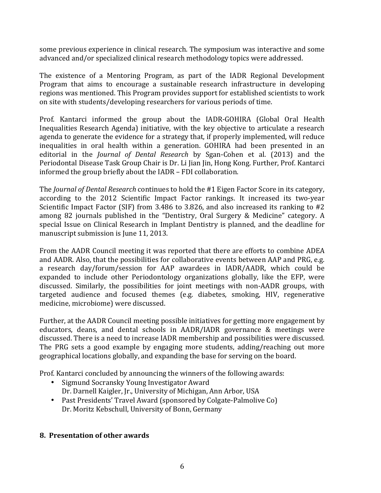some previous experience in clinical research. The symposium was interactive and some advanced and/or specialized clinical research methodology topics were addressed.

The existence of a Mentoring Program, as part of the IADR Regional Development Program that aims to encourage a sustainable research infrastructure in developing regions was mentioned. This Program provides support for established scientists to work on site with students/developing researchers for various periods of time.

Prof. Kantarci informed the group about the IADR-GOHIRA (Global Oral Health Inequalities Research Agenda) initiative, with the key objective to articulate a research agenda to generate the evidence for a strategy that, if properly implemented, will reduce inequalities in oral health within a generation. GOHIRA had been presented in an editorial in the *Journal of Dental Research* by Sgan-Cohen et al. (2013) and the Periodontal Disease Task Group Chair is Dr. Li Jian Jin, Hong Kong. Further, Prof. Kantarci informed the group briefly about the IADR – FDI collaboration.

The *Journal of Dental Research* continues to hold the #1 Eigen Factor Score in its category, according to the 2012 Scientific Impact Factor rankings. It increased its two-year Scientific Impact Factor (SIF) from 3.486 to 3.826, and also increased its ranking to  $#2$ among 82 journals published in the "Dentistry, Oral Surgery & Medicine" category. A special Issue on Clinical Research in Implant Dentistry is planned, and the deadline for manuscript submission is June 11, 2013.

From the AADR Council meeting it was reported that there are efforts to combine ADEA and AADR. Also, that the possibilities for collaborative events between AAP and PRG, e.g. a research day/forum/session for AAP awardees in IADR/AADR, which could be expanded to include other Periodontology organizations globally, like the EFP, were discussed. Similarly, the possibilities for joint meetings with non-AADR groups, with targeted audience and focused themes (e.g. diabetes, smoking, HIV, regenerative medicine, microbiome) were discussed.

Further, at the AADR Council meeting possible initiatives for getting more engagement by educators, deans, and dental schools in  $AADR/IADR$  governance  $&$  meetings were discussed. There is a need to increase IADR membership and possibilities were discussed. The PRG sets a good example by engaging more students, adding/reaching out more geographical locations globally, and expanding the base for serving on the board.

Prof. Kantarci concluded by announcing the winners of the following awards:

- Sigmund Socransky Young Investigator Award
	- Dr. Darnell Kaigler, Jr., University of Michigan, Ann Arbor, USA
- Past Presidents' Travel Award (sponsored by Colgate-Palmolive Co) Dr. Moritz Kebschull, University of Bonn, Germany

# **8. Presentation of other awards**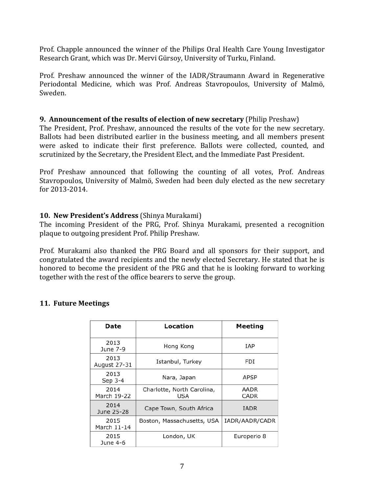Prof. Chapple announced the winner of the Philips Oral Health Care Young Investigator Research Grant, which was Dr. Mervi Gürsoy, University of Turku, Finland.

Prof. Preshaw announced the winner of the IADR/Straumann Award in Regenerative Periodontal Medicine, which was Prof. Andreas Stavropoulos, University of Malmö, Sweden.

### **9. Announcement of the results of election of new secretary (Philip Preshaw)**

The President, Prof. Preshaw, announced the results of the vote for the new secretary. Ballots had been distributed earlier in the business meeting, and all members present were asked to indicate their first preference. Ballots were collected, counted, and scrutinized by the Secretary, the President Elect, and the Immediate Past President.

Prof Preshaw announced that following the counting of all votes, Prof. Andreas Stavropoulos, University of Malmö, Sweden had been duly elected as the new secretary for 2013-2014.

# **10. New President's Address** (Shinya Murakami)

The incoming President of the PRG, Prof. Shinya Murakami, presented a recognition plaque to outgoing president Prof. Philip Preshaw.

Prof. Murakami also thanked the PRG Board and all sponsors for their support, and congratulated the award recipients and the newly elected Secretary. He stated that he is honored to become the president of the PRG and that he is looking forward to working together with the rest of the office bearers to serve the group.

### **11. Future Meetings**

| Date                 | Location                          | Meeting        |
|----------------------|-----------------------------------|----------------|
| 2013<br>June 7-9     | Hong Kong                         | IAP            |
| 2013<br>August 27-31 | Istanbul, Turkey                  | FDI            |
| 2013<br>Sep 3-4      | Nara, Japan                       | APSP           |
| 2014<br>March 19-22  | Charlotte, North Carolina,<br>USA | AADR<br>CADR   |
| 2014<br>June 25-28   | Cape Town, South Africa           | IADR           |
| 2015<br>March 11-14  | Boston, Massachusetts, USA        | IADR/AADR/CADR |
| 2015<br>June 4-6     | London, UK                        | Europerio 8    |